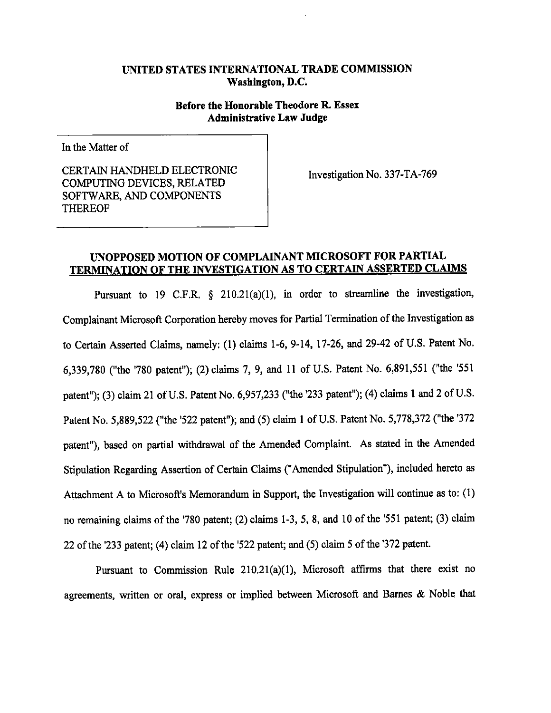# UNITED STATES INTERNATIONAL TRADE COMMISSION Washington, D.C.

# Before the Honorable Theodore R. Essex **Administrative Law Judge**

In the Matter of

CERTAIN HANDHELD ELECTRONIC **COMPUTING DEVICES, RELATED** SOFTWARE, AND COMPONENTS **THEREOF** 

Investigation No. 337-TA-769

# UNOPPOSED MOTION OF COMPLAINANT MICROSOFT FOR PARTIAL **TERMINATION OF THE INVESTIGATION AS TO CERTAIN ASSERTED CLAIMS**

Pursuant to 19 C.F.R.  $\S$  210.21(a)(1), in order to streamline the investigation, Complainant Microsoft Corporation hereby moves for Partial Termination of the Investigation as to Certain Asserted Claims, namely: (1) claims 1-6, 9-14, 17-26, and 29-42 of U.S. Patent No. 6,339,780 ("the '780 patent"); (2) claims 7, 9, and 11 of U.S. Patent No. 6,891,551 ("the '551 patent"); (3) claim 21 of U.S. Patent No. 6,957,233 ("the '233 patent"); (4) claims 1 and 2 of U.S. Patent No. 5,889,522 ("the '522 patent"); and (5) claim 1 of U.S. Patent No. 5,778,372 ("the '372 patent"), based on partial withdrawal of the Amended Complaint. As stated in the Amended Stipulation Regarding Assertion of Certain Claims ("Amended Stipulation"), included hereto as Attachment A to Microsoft's Memorandum in Support, the Investigation will continue as to: (1) no remaining claims of the '780 patent; (2) claims 1-3, 5, 8, and 10 of the '551 patent; (3) claim 22 of the '233 patent; (4) claim 12 of the '522 patent; and (5) claim 5 of the '372 patent.

Pursuant to Commission Rule  $210.21(a)(1)$ , Microsoft affirms that there exist no agreements, written or oral, express or implied between Microsoft and Barnes & Noble that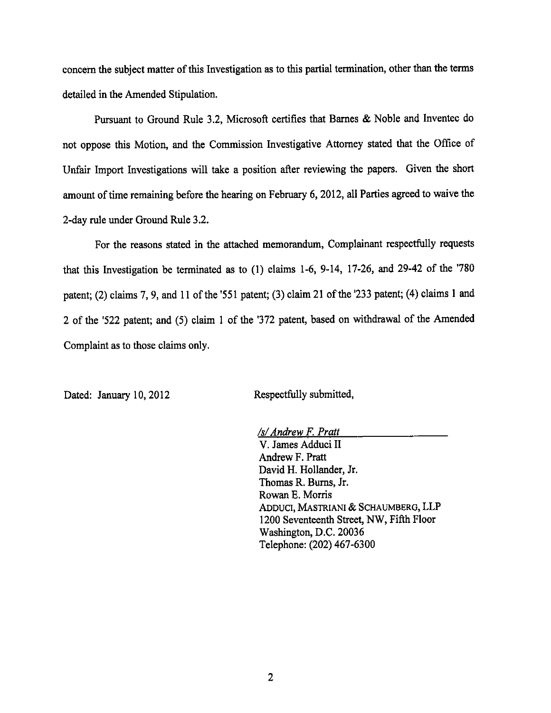concern the subject matter of this Investigation as to this partial termination, other than the terms detailed in the Amended Stipulation.

Pursuant to Ground Rule 3.2, Microsoft certifies that Barnes & Noble and Invented do not oppose this Motion, and the Commission Investigative Attorney stated that the Office of Unfair Import Investigations will take a position after reviewing the papers. Given the short amount of time remaining before the hearing on February 6, 2012, all Parties agreed to waive the 2-day rule under Ground Rule 3.2.

For the reasons stated in the attached memorandum, Complainant respectfully requests that this Investigation be terminated as to (1) claims 1-6, 9-14, 17-26, and 29-42 of the '780 patent; (2) claims 7, 9, and 11 of the '551 patent; (3) claim 21 of the '233 patent; (4) claims 1 and 2 of the '522 patent; and (5) claim 1 of the '372 patent, based on withdrawal of the Amended Complaint as to those claims only.

Dated: January 10, 2012

Respectfully submitted,

/s/ Andrew F. Pratt V. James Adduci II Andrew F. Pratt David H. Hollander, Jr. Thomas R. Burns, Jr. Rowan E. Morris ADDUCI, MASTRIANI & SCHAUMBERG, LLP 1200 Seventeenth Street, NW, Fifth Floor Washington, D.C. 20036 Telephone: (202) 467-6300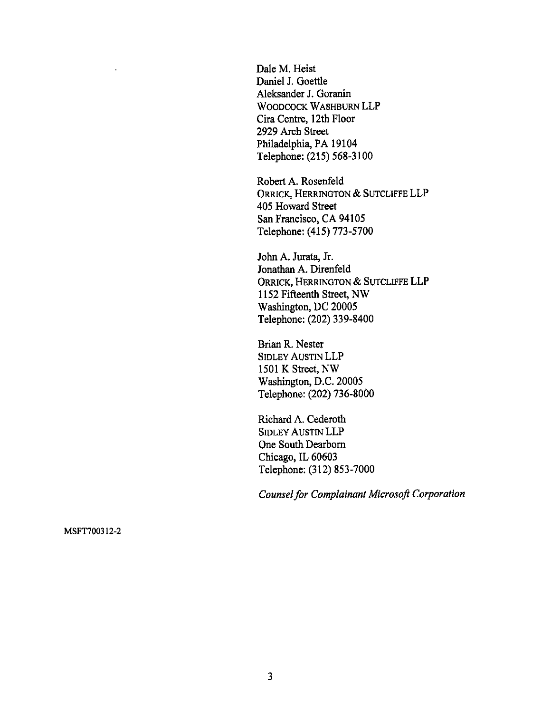Dale M. Heist Daniel J. Goettle Aleksander J. Goranin WOODCOCK WASHBURN LLP Cira Centre, 12th Floor 2929 Arch Street Philadelphia, PA 19104 Telephone: (215) 568-3100

Robert A. Rosenfeld ORRICK, HERRINGTON & SUTCLIFFE LLP 405 Howard Street San Francisco, CA 94105 Telephone: (415) 773-5700

John A. Jurata, Jr. Jonathan A. Direnfeld ORRICK, HERRINGTON & SUTCLIFFE LLP 1152 Fifteenth Street, NW Washington, DC 20005 Telephone: (202) 339-8400

Brian R. Nester **SIDLEY AUSTIN LLP** 1501 K Street, NW Washington, D.C. 20005 Telephone: (202) 736-8000

Richard A. Cederoth **SIDLEY AUSTIN LLP** One South Dearborn Chicago, IL 60603 Telephone: (312) 853-7000

**Counsel for Complainant Microsoft Corporation** 

MSFT700312-2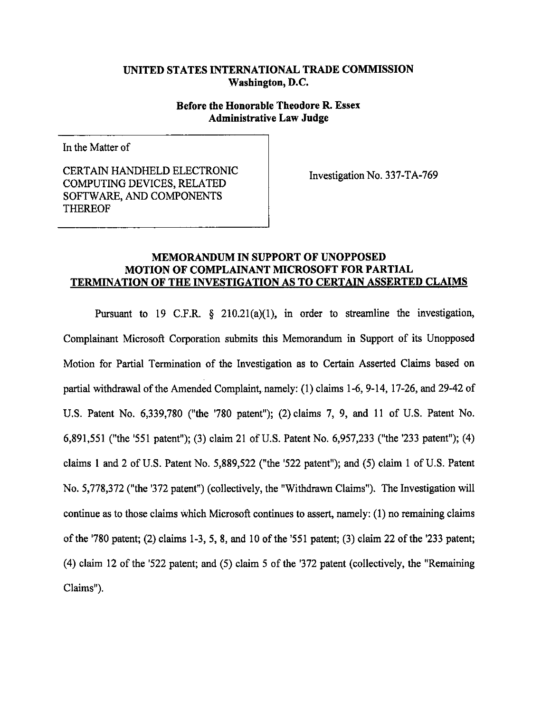## UNITED STATES INTERNATIONAL TRADE COMMISSION Washington, D.C.

# Before the Honorable Theodore R. Essex **Administrative Law Judge**

In the Matter of

CERTAIN HANDHELD ELECTRONIC COMPUTING DEVICES, RELATED SOFTWARE, AND COMPONENTS **THEREOF** 

Investigation No. 337-TA-769

## **MEMORANDUM IN SUPPORT OF UNOPPOSED** MOTION OF COMPLAINANT MICROSOFT FOR PARTIAL TERMINATION OF THE INVESTIGATION AS TO CERTAIN ASSERTED CLAIMS

Pursuant to 19 C.F.R.  $\frac{1}{2}$  210.21(a)(1), in order to streamline the investigation, Complainant Microsoft Corporation submits this Memorandum in Support of its Unopposed Motion for Partial Termination of the Investigation as to Certain Asserted Claims based on partial withdrawal of the Amended Complaint, namely: (1) claims 1-6, 9-14, 17-26, and 29-42 of U.S. Patent No. 6,339,780 ("the '780 patent"); (2) claims 7, 9, and 11 of U.S. Patent No. 6,891,551 ("the '551 patent"); (3) claim 21 of U.S. Patent No. 6,957,233 ("the '233 patent"); (4) claims 1 and 2 of U.S. Patent No. 5,889,522 ("the '522 patent"); and (5) claim 1 of U.S. Patent No. 5,778,372 ("the '372 patent") (collectively, the "Withdrawn Claims"). The Investigation will continue as to those claims which Microsoft continues to assert, namely: (1) no remaining claims of the '780 patent; (2) claims 1-3, 5, 8, and 10 of the '551 patent; (3) claim 22 of the '233 patent; (4) claim 12 of the '522 patent; and (5) claim 5 of the '372 patent (collectively, the "Remaining Claims").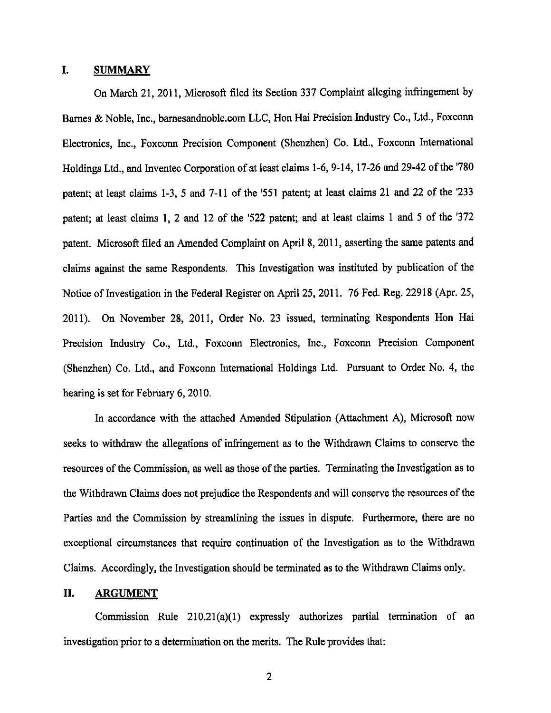#### I. **SUMMARY**

On March 21, 2011, Microsoft filed its Section 337 Complaint alleging infringement by Barnes & Noble, Inc., barnesandnoble.com LLC, Hon Hai Precision Industry Co., Ltd., Foxconn Electronics, Inc., Foxconn Precision Component (Shenzhen) Co. Ltd., Foxconn International Holdings Ltd., and Inventec Corporation of at least claims 1-6, 9-14, 17-26 and 29-42 of the '780 patent; at least claims 1-3, 5 and 7-11 of the '551 patent; at least claims 21 and 22 of the '233 patent; at least claims 1, 2 and 12 of the '522 patent; and at least claims 1 and 5 of the '372 patent. Microsoft filed an Amended Complaint on April 8, 2011, asserting the same patents and claims against the same Respondents. This Investigation was instituted by publication of the Notice of Investigation in the Federal Register on April 25, 2011. 76 Fed. Reg. 22918 (Apr. 25, 2011). On November 28, 2011, Order No. 23 issued, terminating Respondents Hon Hai Precision Industry Co., Ltd., Foxconn Electronics, Inc., Foxconn Precision Component (Shenzhen) Co. Ltd., and Foxconn International Holdings Ltd. Pursuant to Order No. 4, the hearing is set for February 6, 2010.

In accordance with the attached Amended Stipulation (Attachment A), Microsoft now seeks to withdraw the allegations of infringement as to the Withdrawn Claims to conserve the resources of the Commission, as well as those of the parties. Terminating the Investigation as to the Withdrawn Claims does not prejudice the Respondents and will conserve the resources of the Parties and the Commission by streamlining the issues in dispute. Furthermore, there are no exceptional circumstances that require continuation of the Investigation as to the Withdrawn Claims. Accordingly, the Investigation should be terminated as to the Withdrawn Claims only.

#### II. **ARGUMENT**

Commission Rule 210.21(a)(1) expressly authorizes partial termination of an investigation prior to a determination on the merits. The Rule provides that:

 $\overline{2}$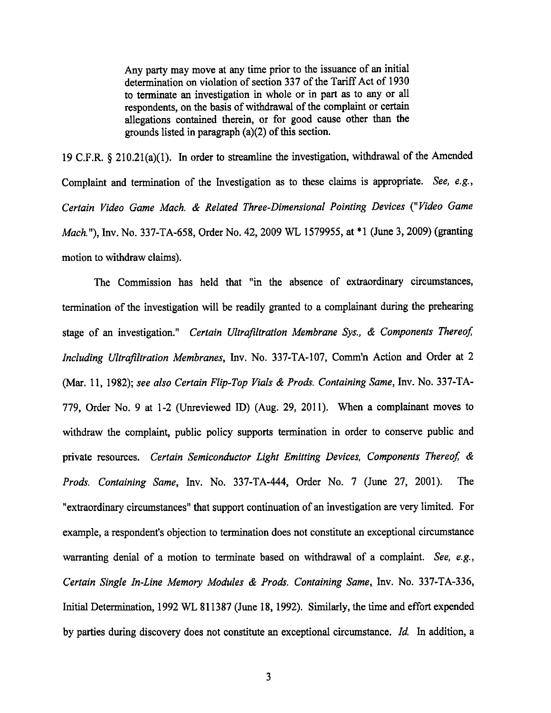Any party may move at any time prior to the issuance of an initial determination on violation of section 337 of the Tariff Act of 1930 to terminate an investigation in whole or in part as to any or all respondents, on the basis of withdrawal of the complaint or certain allegations contained therein, or for good cause other than the grounds listed in paragraph  $(a)(2)$  of this section.

19 C.F.R. § 210.21(a)(1). In order to streamline the investigation, withdrawal of the Amended Complaint and termination of the Investigation as to these claims is appropriate. See, e.g., Certain Video Game Mach. & Related Three-Dimensional Pointing Devices ("Video Game *Mach.*"), Inv. No. 337-TA-658, Order No. 42, 2009 WL 1579955, at \*1 (June 3, 2009) (granting motion to withdraw claims).

The Commission has held that "in the absence of extraordinary circumstances, termination of the investigation will be readily granted to a complainant during the prehearing stage of an investigation." Certain Ultrafiltration Membrane Sys., & Components Thereof, Including Ultrafiltration Membranes, Inv. No. 337-TA-107, Comm'n Action and Order at 2 (Mar. 11, 1982); see also Certain Flip-Top Vials & Prods. Containing Same, Inv. No. 337-TA-779, Order No. 9 at 1-2 (Unreviewed ID) (Aug. 29, 2011). When a complainant moves to withdraw the complaint, public policy supports termination in order to conserve public and private resources. Certain Semiconductor Light Emitting Devices, Components Thereof, & Prods. Containing Same, Inv. No. 337-TA-444, Order No. 7 (June 27, 2001). The "extraordinary circumstances" that support continuation of an investigation are very limited. For example, a respondent's objection to termination does not constitute an exceptional circumstance warranting denial of a motion to terminate based on withdrawal of a complaint. See, e.g., Certain Single In-Line Memory Modules & Prods. Containing Same, Inv. No. 337-TA-336, Initial Determination, 1992 WL 811387 (June 18, 1992). Similarly, the time and effort expended by parties during discovery does not constitute an exceptional circumstance. Id. In addition, a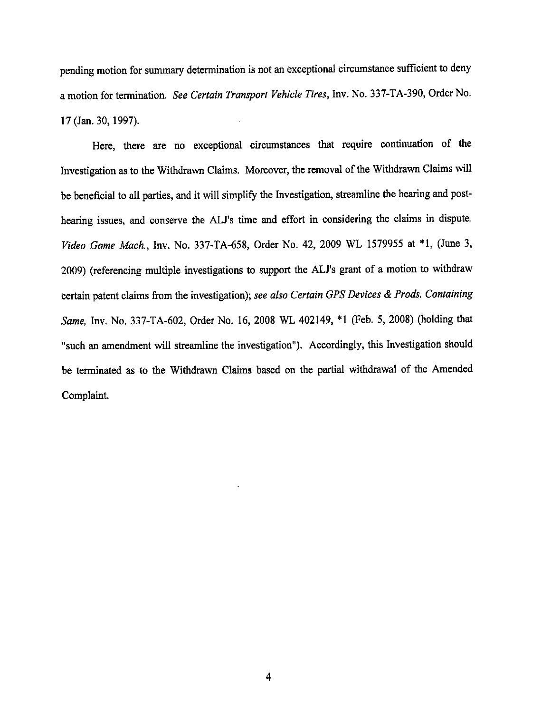pending motion for summary determination is not an exceptional circumstance sufficient to deny a motion for termination. See Certain Transport Vehicle Tires, Inv. No. 337-TA-390, Order No. 17 (Jan. 30, 1997).

Here, there are no exceptional circumstances that require continuation of the Investigation as to the Withdrawn Claims. Moreover, the removal of the Withdrawn Claims will be beneficial to all parties, and it will simplify the Investigation, streamline the hearing and posthearing issues, and conserve the ALJ's time and effort in considering the claims in dispute. Video Game Mach., Inv. No. 337-TA-658, Order No. 42, 2009 WL 1579955 at \*1, (June 3, 2009) (referencing multiple investigations to support the ALJ's grant of a motion to withdraw certain patent claims from the investigation); see also Certain GPS Devices & Prods. Containing Same, Inv. No. 337-TA-602, Order No. 16, 2008 WL 402149, \*1 (Feb. 5, 2008) (holding that "such an amendment will streamline the investigation"). Accordingly, this Investigation should be terminated as to the Withdrawn Claims based on the partial withdrawal of the Amended Complaint.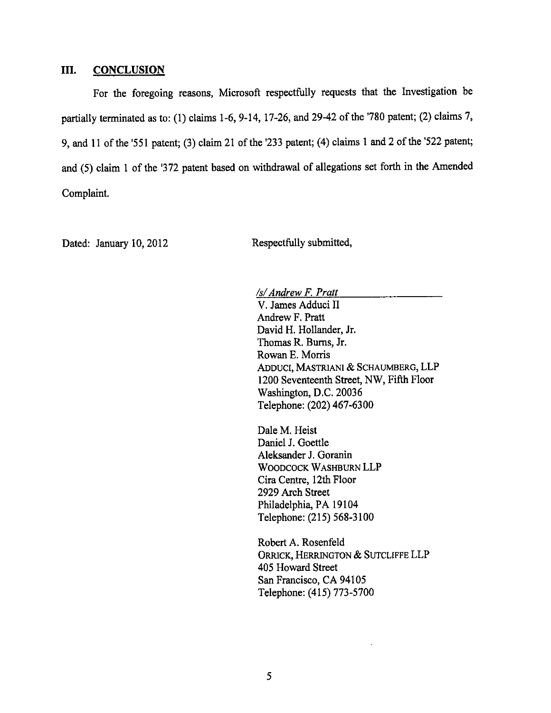#### III. **CONCLUSION**

For the foregoing reasons, Microsoft respectfully requests that the Investigation be partially terminated as to: (1) claims 1-6, 9-14, 17-26, and 29-42 of the '780 patent; (2) claims 7, 9, and 11 of the '551 patent; (3) claim 21 of the '233 patent; (4) claims 1 and 2 of the '522 patent; and (5) claim 1 of the '372 patent based on withdrawal of allegations set forth in the Amended Complaint.

Dated: January 10, 2012

Respectfully submitted,

/s/ Andrew F. Pratt V. James Adduci II Andrew F. Pratt David H. Hollander, Jr. Thomas R. Burns, Jr. Rowan E. Morris ADDUCI, MASTRIANI & SCHAUMBERG, LLP 1200 Seventeenth Street, NW, Fifth Floor Washington, D.C. 20036 Telephone: (202) 467-6300

Dale M. Heist Daniel J. Goettle Aleksander J. Goranin WOODCOCK WASHBURN LLP Cira Centre, 12th Floor 2929 Arch Street Philadelphia, PA 19104 Telephone: (215) 568-3100

Robert A. Rosenfeld ORRICK, HERRINGTON & SUTCLIFFE LLP 405 Howard Street San Francisco, CA 94105 Telephone: (415) 773-5700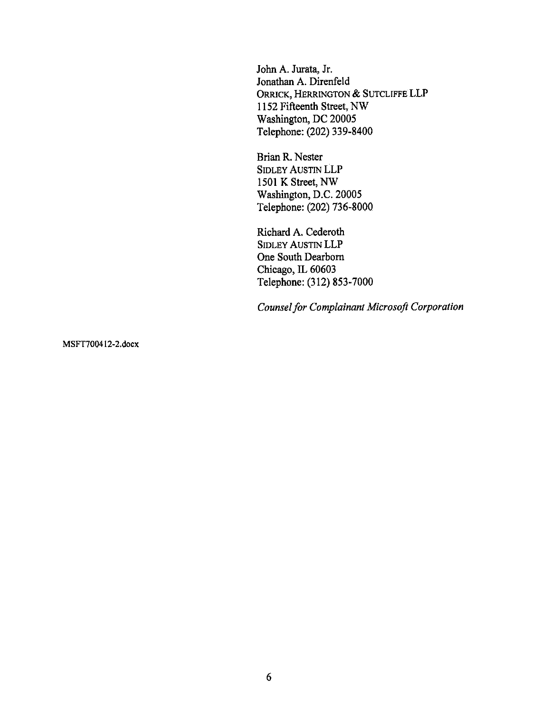John A. Jurata, Jr. Jonathan A. Direnfeld ORRICK, HERRINGTON & SUTCLIFFE LLP 1152 Fifteenth Street, NW Washington, DC 20005 Telephone: (202) 339-8400

Brian R. Nester **SIDLEY AUSTIN LLP** 1501 K Street, NW Washington, D.C. 20005 Telephone: (202) 736-8000

Richard A. Cederoth **SIDLEY AUSTIN LLP** One South Dearborn Chicago, IL 60603 Telephone: (312) 853-7000

Counsel for Complainant Microsoft Corporation

MSFT700412-2.docx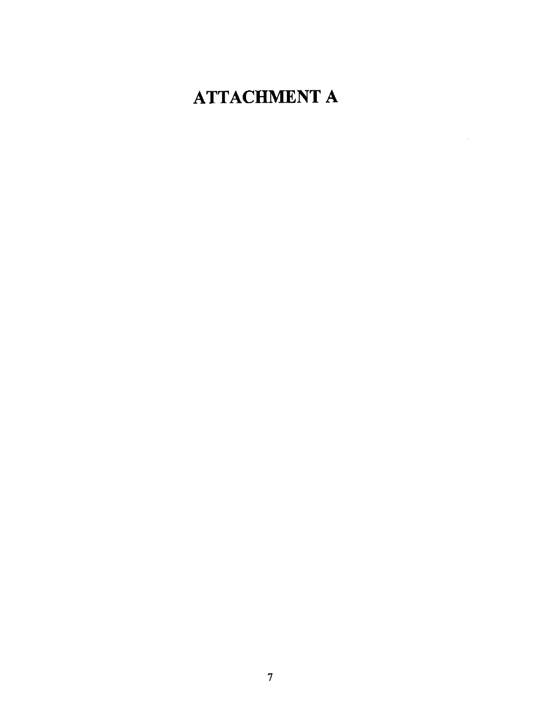# **ATTACHMENT A**

J.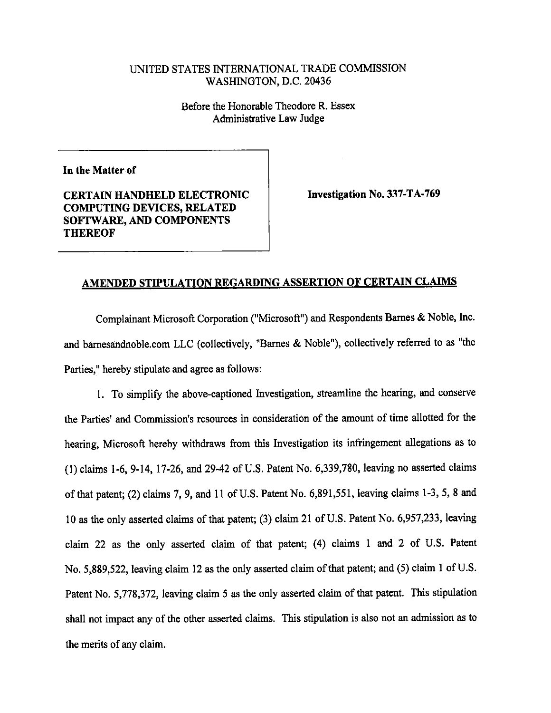# UNITED STATES INTERNATIONAL TRADE COMMISSION WASHINGTON, D.C. 20436

Before the Honorable Theodore R. Essex Administrative Law Judge

In the Matter of

**CERTAIN HANDHELD ELECTRONIC COMPUTING DEVICES, RELATED** SOFTWARE, AND COMPONENTS **THEREOF** 

Investigation No. 337-TA-769

# AMENDED STIPULATION REGARDING ASSERTION OF CERTAIN CLAIMS

Complainant Microsoft Corporation ("Microsoft") and Respondents Barnes & Noble, Inc. and barnesandnoble.com LLC (collectively, "Barnes & Noble"), collectively referred to as "the Parties," hereby stipulate and agree as follows:

1. To simplify the above-captioned Investigation, streamline the hearing, and conserve the Parties' and Commission's resources in consideration of the amount of time allotted for the hearing, Microsoft hereby withdraws from this Investigation its infringement allegations as to (1) claims 1-6, 9-14, 17-26, and 29-42 of U.S. Patent No. 6,339,780, leaving no asserted claims of that patent; (2) claims 7, 9, and 11 of U.S. Patent No. 6,891,551, leaving claims 1-3, 5, 8 and 10 as the only asserted claims of that patent; (3) claim 21 of U.S. Patent No. 6,957,233, leaving claim 22 as the only asserted claim of that patent; (4) claims 1 and 2 of U.S. Patent No. 5,889,522, leaving claim 12 as the only asserted claim of that patent; and (5) claim 1 of U.S. Patent No. 5,778,372, leaving claim 5 as the only asserted claim of that patent. This stipulation shall not impact any of the other asserted claims. This stipulation is also not an admission as to the merits of any claim.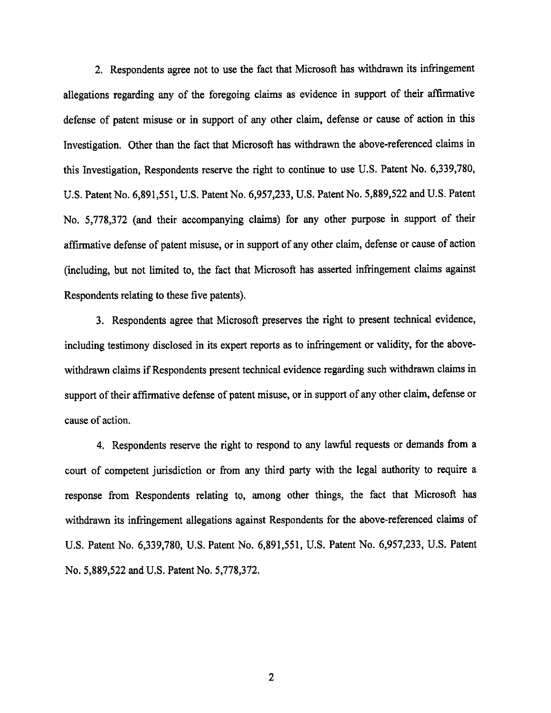2. Respondents agree not to use the fact that Microsoft has withdrawn its infringement allegations regarding any of the foregoing claims as evidence in support of their affirmative defense of patent misuse or in support of any other claim, defense or cause of action in this Investigation. Other than the fact that Microsoft has withdrawn the above-referenced claims in this Investigation, Respondents reserve the right to continue to use U.S. Patent No. 6,339,780, U.S. Patent No. 6,891,551, U.S. Patent No. 6,957,233, U.S. Patent No. 5,889,522 and U.S. Patent No. 5,778,372 (and their accompanying claims) for any other purpose in support of their affirmative defense of patent misuse, or in support of any other claim, defense or cause of action (including, but not limited to, the fact that Microsoft has asserted infringement claims against Respondents relating to these five patents).

3. Respondents agree that Microsoft preserves the right to present technical evidence, including testimony disclosed in its expert reports as to infringement or validity, for the abovewithdrawn claims if Respondents present technical evidence regarding such withdrawn claims in support of their affirmative defense of patent misuse, or in support of any other claim, defense or cause of action.

4. Respondents reserve the right to respond to any lawful requests or demands from a court of competent jurisdiction or from any third party with the legal authority to require a response from Respondents relating to, among other things, the fact that Microsoft has withdrawn its infringement allegations against Respondents for the above-referenced claims of U.S. Patent No. 6,339,780, U.S. Patent No. 6,891,551, U.S. Patent No. 6,957,233, U.S. Patent No. 5,889,522 and U.S. Patent No. 5,778,372.

 $\overline{2}$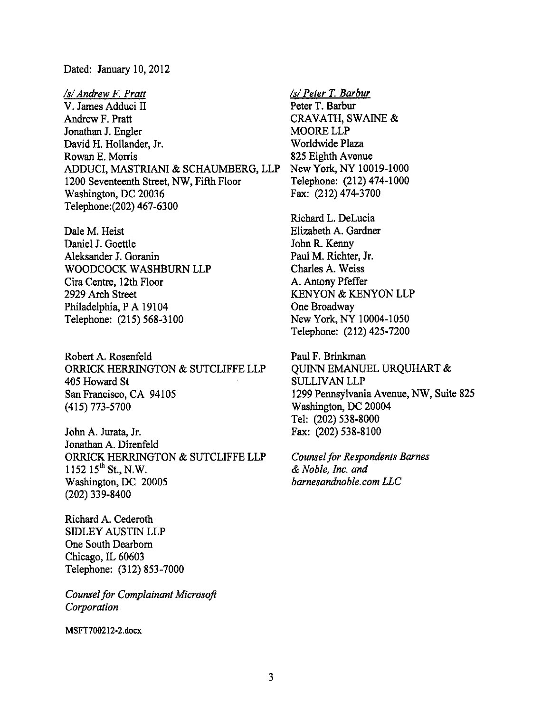Dated: January 10, 2012

/s/ Andrew F. Pratt V. James Adduci II Andrew F. Pratt Jonathan J. Engler David H. Hollander, Jr. Rowan E. Morris ADDUCI, MASTRIANI & SCHAUMBERG, LLP 1200 Seventeenth Street, NW, Fifth Floor Washington, DC 20036 Telephone: (202) 467-6300

Dale M. Heist Daniel J. Goettle Aleksander J. Goranin WOODCOCK WASHBURN LLP Cira Centre, 12th Floor 2929 Arch Street Philadelphia, P A 19104 Telephone: (215) 568-3100

Robert A. Rosenfeld ORRICK HERRINGTON & SUTCLIFFE LLP 405 Howard St San Francisco, CA 94105  $(415)$  773-5700

John A. Jurata, Jr. Jonathan A. Direnfeld ORRICK HERRINGTON & SUTCLIFFE LLP 1152 15<sup>th</sup> St., N.W. Washington, DC 20005  $(202)$  339-8400

Richard A. Cederoth **SIDLEY AUSTIN LLP** One South Dearborn Chicago, IL 60603 Telephone: (312) 853-7000

**Counsel for Complainant Microsoft** Corporation

MSFT700212-2.docx

/s/ Peter T. Barbur Peter T. Barbur CRAVATH, SWAINE & MOORE LLP Worldwide Plaza 825 Eighth Avenue New York, NY 10019-1000 Telephone: (212) 474-1000 Fax: (212) 474-3700

Richard L. DeLucia Elizabeth A. Gardner John R. Kenny Paul M. Richter, Jr. Charles A. Weiss A. Antony Pfeffer KENYON & KENYON LLP One Broadway New York, NY 10004-1050 Telephone: (212) 425-7200

Paul F. Brinkman QUINN EMANUEL URQUHART & **SULLIVAN LLP** 1299 Pennsylvania Avenue, NW, Suite 825 Washington, DC 20004 Tel: (202) 538-8000 Fax: (202) 538-8100

**Counsel for Respondents Barnes** & Noble, Inc. and barnesandnoble.com LLC